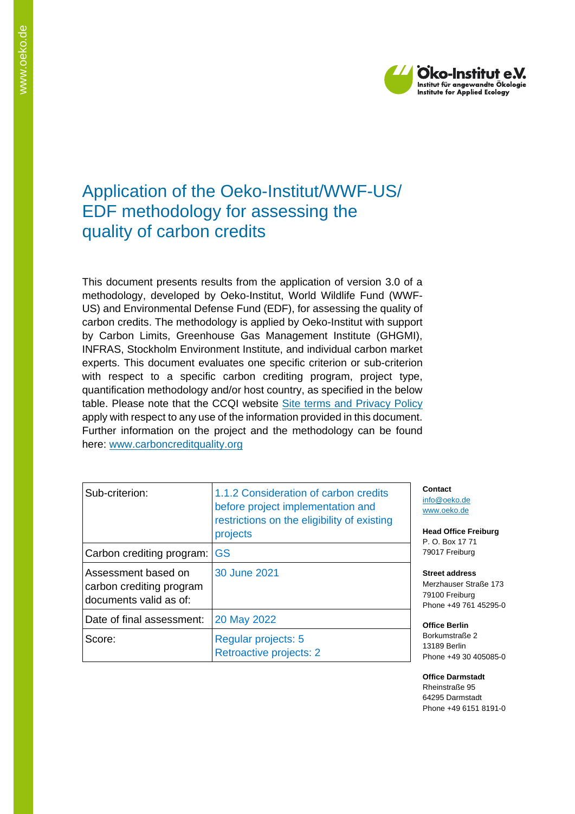

# Application of the Oeko-Institut/WWF-US/ EDF methodology for assessing the quality of carbon credits

This document presents results from the application of version 3.0 of a methodology, developed by Oeko-Institut, World Wildlife Fund (WWF-US) and Environmental Defense Fund (EDF), for assessing the quality of carbon credits. The methodology is applied by Oeko-Institut with support by Carbon Limits, Greenhouse Gas Management Institute (GHGMI), INFRAS, Stockholm Environment Institute, and individual carbon market experts. This document evaluates one specific criterion or sub-criterion with respect to a specific carbon crediting program, project type, quantification methodology and/or host country, as specified in the below table. Please note that the CCQI website [Site terms and Privacy Policy](https://carboncreditquality.org/terms.html) apply with respect to any use of the information provided in this document. Further information on the project and the methodology can be found here: [www.carboncreditquality.org](http://www.carboncreditquality.org/)

| Sub-criterion:                                                            | 1.1.2 Consideration of carbon credits<br>before project implementation and<br>restrictions on the eligibility of existing<br>projects |
|---------------------------------------------------------------------------|---------------------------------------------------------------------------------------------------------------------------------------|
| Carbon crediting program: GS                                              |                                                                                                                                       |
| Assessment based on<br>carbon crediting program<br>documents valid as of: | 30 June 2021                                                                                                                          |
| Date of final assessment:                                                 | 20 May 2022                                                                                                                           |
| Score:                                                                    | Regular projects: 5<br>Retroactive projects: 2                                                                                        |

**Contact** [info@oeko.de](mailto:info@oeko.de) [www.oeko.de](http://www.oeko.de/)

**Head Office Freiburg** P. O. Box 17 71 79017 Freiburg

**Street address** Merzhauser Straße 173 79100 Freiburg Phone +49 761 45295-0

**Office Berlin** Borkumstraße 2 13189 Berlin Phone +49 30 405085-0

**Office Darmstadt** Rheinstraße 95 64295 Darmstadt Phone +49 6151 8191-0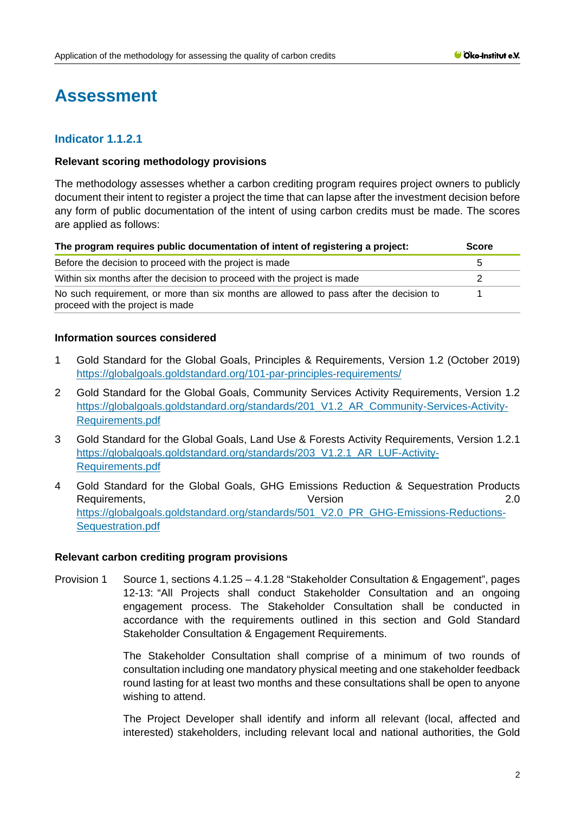# **Assessment**

# **Indicator 1.1.2.1**

### **Relevant scoring methodology provisions**

The methodology assesses whether a carbon crediting program requires project owners to publicly document their intent to register a project the time that can lapse after the investment decision before any form of public documentation of the intent of using carbon credits must be made. The scores are applied as follows:

| The program requires public documentation of intent of registering a project:                                              |   |
|----------------------------------------------------------------------------------------------------------------------------|---|
| Before the decision to proceed with the project is made                                                                    | b |
| Within six months after the decision to proceed with the project is made                                                   |   |
| No such requirement, or more than six months are allowed to pass after the decision to<br>proceed with the project is made |   |

## **Information sources considered**

- 1 Gold Standard for the Global Goals, Principles & Requirements, Version 1.2 (October 2019) <https://globalgoals.goldstandard.org/101-par-principles-requirements/>
- 2 Gold Standard for the Global Goals, Community Services Activity Requirements, Version 1.2 [https://globalgoals.goldstandard.org/standards/201\\_V1.2\\_AR\\_Community-Services-Activity-](https://globalgoals.goldstandard.org/standards/201_V1.2_AR_Community-Services-Activity-Requirements.pdf)[Requirements.pdf](https://globalgoals.goldstandard.org/standards/201_V1.2_AR_Community-Services-Activity-Requirements.pdf)
- 3 Gold Standard for the Global Goals, Land Use & Forests Activity Requirements, Version 1.2.1 [https://globalgoals.goldstandard.org/standards/203\\_V1.2.1\\_AR\\_LUF-Activity-](https://globalgoals.goldstandard.org/standards/203_V1.2.1_AR_LUF-Activity-Requirements.pdf)[Requirements.pdf](https://globalgoals.goldstandard.org/standards/203_V1.2.1_AR_LUF-Activity-Requirements.pdf)
- 4 Gold Standard for the Global Goals, GHG Emissions Reduction & Sequestration Products Requirements, 2.0 [https://globalgoals.goldstandard.org/standards/501\\_V2.0\\_PR\\_GHG-Emissions-Reductions-](https://globalgoals.goldstandard.org/standards/501_V2.0_PR_GHG-Emissions-Reductions-Sequestration.pdf)[Sequestration.pdf](https://globalgoals.goldstandard.org/standards/501_V2.0_PR_GHG-Emissions-Reductions-Sequestration.pdf)

### **Relevant carbon crediting program provisions**

Provision 1 Source 1, sections 4.1.25 – 4.1.28 "Stakeholder Consultation & Engagement", pages 12-13: "All Projects shall conduct Stakeholder Consultation and an ongoing engagement process. The Stakeholder Consultation shall be conducted in accordance with the requirements outlined in this section and Gold Standard Stakeholder Consultation & Engagement Requirements.

> The Stakeholder Consultation shall comprise of a minimum of two rounds of consultation including one mandatory physical meeting and one stakeholder feedback round lasting for at least two months and these consultations shall be open to anyone wishing to attend.

> The Project Developer shall identify and inform all relevant (local, affected and interested) stakeholders, including relevant local and national authorities, the Gold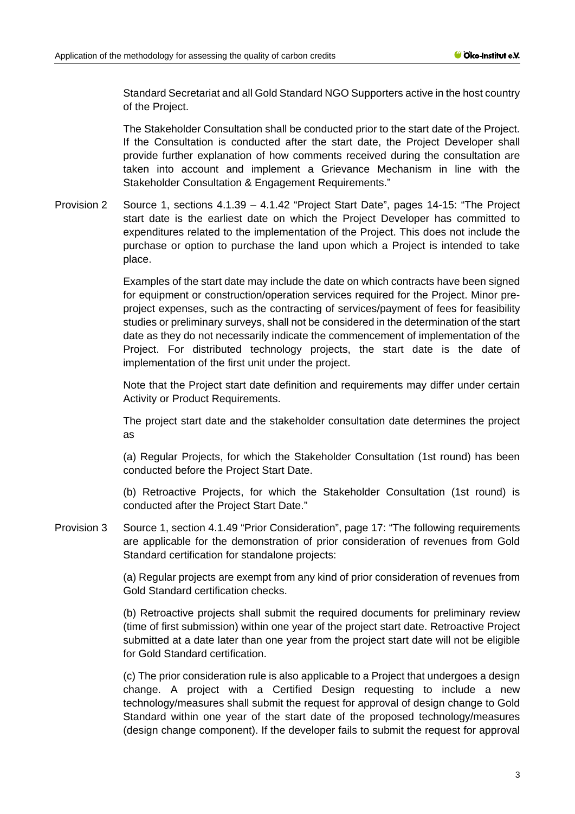Standard Secretariat and all Gold Standard NGO Supporters active in the host country of the Project.

The Stakeholder Consultation shall be conducted prior to the start date of the Project. If the Consultation is conducted after the start date, the Project Developer shall provide further explanation of how comments received during the consultation are taken into account and implement a Grievance Mechanism in line with the Stakeholder Consultation & Engagement Requirements."

Provision 2 Source 1, sections 4.1.39 – 4.1.42 "Project Start Date", pages 14-15: "The Project start date is the earliest date on which the Project Developer has committed to expenditures related to the implementation of the Project. This does not include the purchase or option to purchase the land upon which a Project is intended to take place.

> Examples of the start date may include the date on which contracts have been signed for equipment or construction/operation services required for the Project. Minor preproject expenses, such as the contracting of services/payment of fees for feasibility studies or preliminary surveys, shall not be considered in the determination of the start date as they do not necessarily indicate the commencement of implementation of the Project. For distributed technology projects, the start date is the date of implementation of the first unit under the project.

> Note that the Project start date definition and requirements may differ under certain Activity or Product Requirements.

> The project start date and the stakeholder consultation date determines the project as

> (a) Regular Projects, for which the Stakeholder Consultation (1st round) has been conducted before the Project Start Date.

> (b) Retroactive Projects, for which the Stakeholder Consultation (1st round) is conducted after the Project Start Date."

Provision 3 Source 1, section 4.1.49 "Prior Consideration", page 17: "The following requirements are applicable for the demonstration of prior consideration of revenues from Gold Standard certification for standalone projects:

> (a) Regular projects are exempt from any kind of prior consideration of revenues from Gold Standard certification checks.

> (b) Retroactive projects shall submit the required documents for preliminary review (time of first submission) within one year of the project start date. Retroactive Project submitted at a date later than one year from the project start date will not be eligible for Gold Standard certification.

> (c) The prior consideration rule is also applicable to a Project that undergoes a design change. A project with a Certified Design requesting to include a new technology/measures shall submit the request for approval of design change to Gold Standard within one year of the start date of the proposed technology/measures (design change component). If the developer fails to submit the request for approval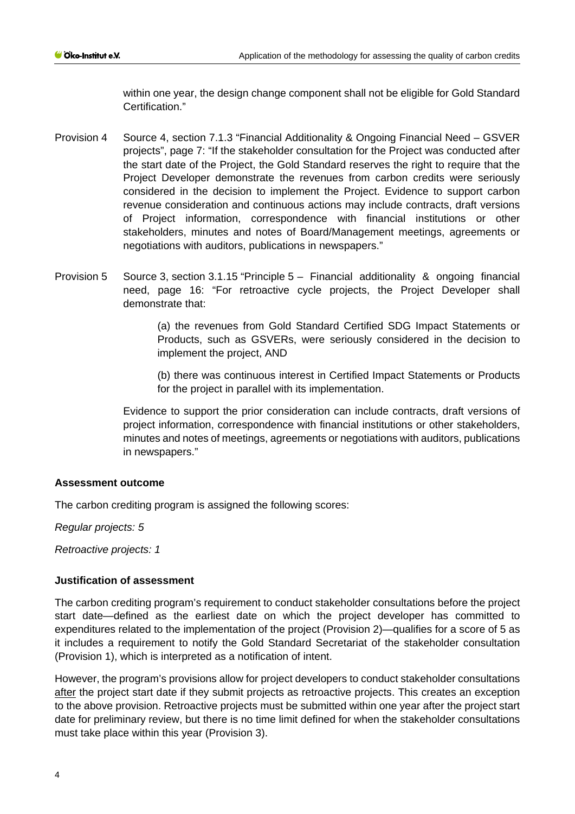within one year, the design change component shall not be eligible for Gold Standard Certification."

- Provision 4 Source 4, section 7.1.3 "Financial Additionality & Ongoing Financial Need GSVER projects", page 7: "If the stakeholder consultation for the Project was conducted after the start date of the Project, the Gold Standard reserves the right to require that the Project Developer demonstrate the revenues from carbon credits were seriously considered in the decision to implement the Project. Evidence to support carbon revenue consideration and continuous actions may include contracts, draft versions of Project information, correspondence with financial institutions or other stakeholders, minutes and notes of Board/Management meetings, agreements or negotiations with auditors, publications in newspapers."
- Provision 5 Source 3, section 3.1.15 "Principle 5 Financial additionality & ongoing financial need, page 16: "For retroactive cycle projects, the Project Developer shall demonstrate that:

(a) the revenues from Gold Standard Certified SDG Impact Statements or Products, such as GSVERs, were seriously considered in the decision to implement the project, AND

(b) there was continuous interest in Certified Impact Statements or Products for the project in parallel with its implementation.

Evidence to support the prior consideration can include contracts, draft versions of project information, correspondence with financial institutions or other stakeholders, minutes and notes of meetings, agreements or negotiations with auditors, publications in newspapers."

### **Assessment outcome**

The carbon crediting program is assigned the following scores:

*Regular projects: 5*

*Retroactive projects: 1*

### **Justification of assessment**

The carbon crediting program's requirement to conduct stakeholder consultations before the project start date—defined as the earliest date on which the project developer has committed to expenditures related to the implementation of the project (Provision 2)—qualifies for a score of 5 as it includes a requirement to notify the Gold Standard Secretariat of the stakeholder consultation (Provision 1), which is interpreted as a notification of intent.

However, the program's provisions allow for project developers to conduct stakeholder consultations after the project start date if they submit projects as retroactive projects. This creates an exception to the above provision. Retroactive projects must be submitted within one year after the project start date for preliminary review, but there is no time limit defined for when the stakeholder consultations must take place within this year (Provision 3).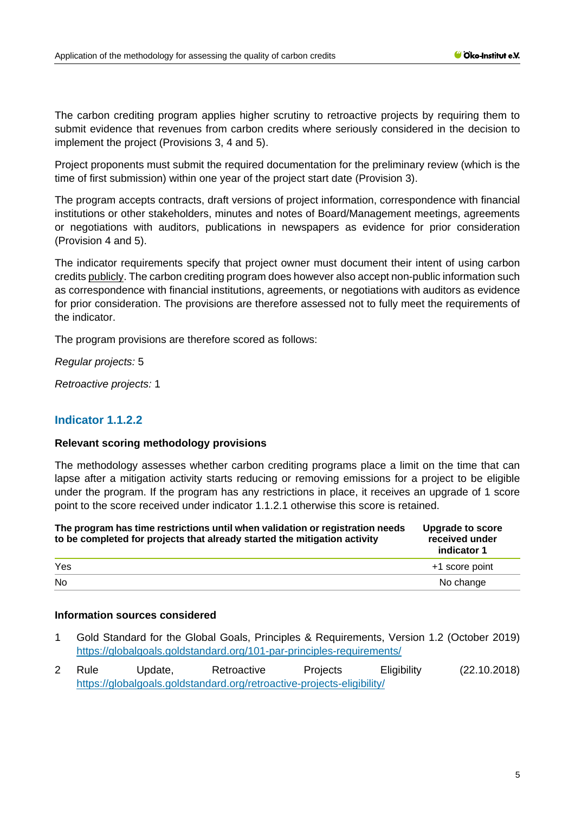The carbon crediting program applies higher scrutiny to retroactive projects by requiring them to submit evidence that revenues from carbon credits where seriously considered in the decision to implement the project (Provisions 3, 4 and 5).

Project proponents must submit the required documentation for the preliminary review (which is the time of first submission) within one year of the project start date (Provision 3).

The program accepts contracts, draft versions of project information, correspondence with financial institutions or other stakeholders, minutes and notes of Board/Management meetings, agreements or negotiations with auditors, publications in newspapers as evidence for prior consideration (Provision 4 and 5).

The indicator requirements specify that project owner must document their intent of using carbon credits publicly. The carbon crediting program does however also accept non-public information such as correspondence with financial institutions, agreements, or negotiations with auditors as evidence for prior consideration. The provisions are therefore assessed not to fully meet the requirements of the indicator.

The program provisions are therefore scored as follows:

*Regular projects:* 5

*Retroactive projects:* 1

# **Indicator 1.1.2.2**

#### **Relevant scoring methodology provisions**

The methodology assesses whether carbon crediting programs place a limit on the time that can lapse after a mitigation activity starts reducing or removing emissions for a project to be eligible under the program. If the program has any restrictions in place, it receives an upgrade of 1 score point to the score received under indicator 1.1.2.1 otherwise this score is retained.

| The program has time restrictions until when validation or registration needs<br>to be completed for projects that already started the mitigation activity | <b>Upgrade to score</b><br>received under<br>indicator 1 |
|------------------------------------------------------------------------------------------------------------------------------------------------------------|----------------------------------------------------------|
| Yes                                                                                                                                                        | +1 score point                                           |
| <b>No</b>                                                                                                                                                  | No change                                                |

#### **Information sources considered**

- 1 Gold Standard for the Global Goals, Principles & Requirements, Version 1.2 (October 2019) <https://globalgoals.goldstandard.org/101-par-principles-requirements/>
- 2 Rule Update, Retroactive Projects Eligibility (22.10.2018) <https://globalgoals.goldstandard.org/retroactive-projects-eligibility/>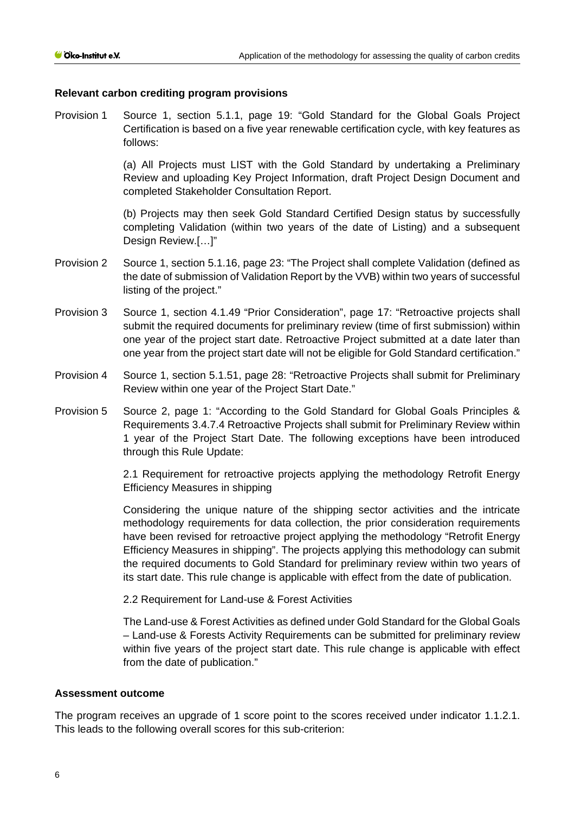#### **Relevant carbon crediting program provisions**

Provision 1 Source 1, section 5.1.1, page 19: "Gold Standard for the Global Goals Project Certification is based on a five year renewable certification cycle, with key features as follows:

> (a) All Projects must LIST with the Gold Standard by undertaking a Preliminary Review and uploading Key Project Information, draft Project Design Document and completed Stakeholder Consultation Report.

> (b) Projects may then seek Gold Standard Certified Design status by successfully completing Validation (within two years of the date of Listing) and a subsequent Design Review.[…]"

- Provision 2 Source 1, section 5.1.16, page 23: "The Project shall complete Validation (defined as the date of submission of Validation Report by the VVB) within two years of successful listing of the project."
- Provision 3 Source 1, section 4.1.49 "Prior Consideration", page 17: "Retroactive projects shall submit the required documents for preliminary review (time of first submission) within one year of the project start date. Retroactive Project submitted at a date later than one year from the project start date will not be eligible for Gold Standard certification."
- Provision 4 Source 1, section 5.1.51, page 28: "Retroactive Projects shall submit for Preliminary Review within one year of the Project Start Date."
- Provision 5 Source 2, page 1: "According to the Gold Standard for Global Goals Principles & Requirements 3.4.7.4 Retroactive Projects shall submit for Preliminary Review within 1 year of the Project Start Date. The following exceptions have been introduced through this Rule Update:

2.1 Requirement for retroactive projects applying the methodology Retrofit Energy Efficiency Measures in shipping

Considering the unique nature of the shipping sector activities and the intricate methodology requirements for data collection, the prior consideration requirements have been revised for retroactive project applying the methodology "Retrofit Energy Efficiency Measures in shipping". The projects applying this methodology can submit the required documents to Gold Standard for preliminary review within two years of its start date. This rule change is applicable with effect from the date of publication.

2.2 Requirement for Land-use & Forest Activities

The Land-use & Forest Activities as defined under Gold Standard for the Global Goals – Land-use & Forests Activity Requirements can be submitted for preliminary review within five years of the project start date. This rule change is applicable with effect from the date of publication."

#### **Assessment outcome**

The program receives an upgrade of 1 score point to the scores received under indicator 1.1.2.1. This leads to the following overall scores for this sub-criterion: